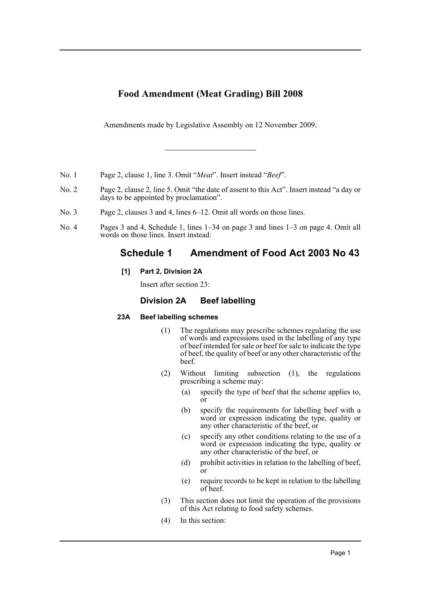# **Food Amendment (Meat Grading) Bill 2008**

Amendments made by Legislative Assembly on 12 November 2009.

- No. 1 Page 2, clause 1, line 3. Omit "*Meat*". Insert instead "*Beef*".
- No. 2 Page 2, clause 2, line 5. Omit "the date of assent to this Act". Insert instead "a day or days to be appointed by proclamation".
- No. 3 Page 2, clauses 3 and 4, lines 6–12. Omit all words on those lines.
- No. 4 Pages 3 and 4, Schedule 1, lines 1–34 on page 3 and lines 1–3 on page 4. Omit all words on those lines. Insert instead:

# **Schedule 1 Amendment of Food Act 2003 No 43**

**[1] Part 2, Division 2A**

Insert after section 23:

## **Division 2A Beef labelling**

## **23A Beef labelling schemes**

- (1) The regulations may prescribe schemes regulating the use of words and expressions used in the labelling of any type of beef intended for sale or beef for sale to indicate the type of beef, the quality of beef or any other characteristic of the beef.
- (2) Without limiting subsection (1), the regulations prescribing a scheme may:
	- (a) specify the type of beef that the scheme applies to, or
	- (b) specify the requirements for labelling beef with a word or expression indicating the type, quality or any other characteristic of the beef, or
	- (c) specify any other conditions relating to the use of a word or expression indicating the type, quality or any other characteristic of the beef, or
	- (d) prohibit activities in relation to the labelling of beef, or
	- (e) require records to be kept in relation to the labelling of beef.
- (3) This section does not limit the operation of the provisions of this Act relating to food safety schemes.
- (4) In this section: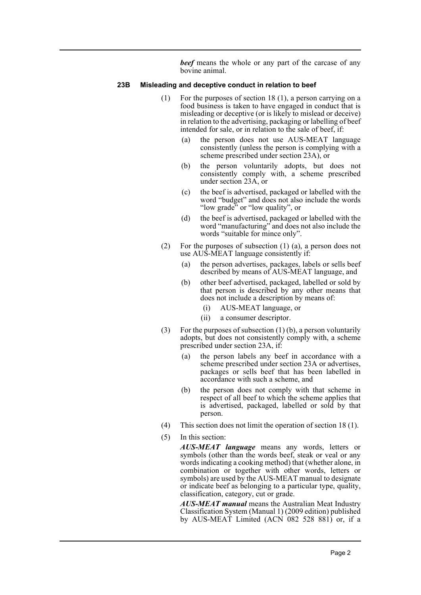*beef* means the whole or any part of the carcase of any bovine animal.

#### **23B Misleading and deceptive conduct in relation to beef**

- (1) For the purposes of section 18 (1), a person carrying on a food business is taken to have engaged in conduct that is misleading or deceptive (or is likely to mislead or deceive) in relation to the advertising, packaging or labelling of beef intended for sale, or in relation to the sale of beef, if:
	- (a) the person does not use AUS-MEAT language consistently (unless the person is complying with a scheme prescribed under section 23A), or
	- (b) the person voluntarily adopts, but does not consistently comply with, a scheme prescribed under section 23A, or
	- (c) the beef is advertised, packaged or labelled with the word "budget" and does not also include the words "low grade" or "low quality", or
	- (d) the beef is advertised, packaged or labelled with the word "manufacturing" and does not also include the words "suitable for mince only".
- (2) For the purposes of subsection (1) (a), a person does not use AUS-MEAT language consistently if:
	- (a) the person advertises, packages, labels or sells beef described by means of AUS-MEAT language, and
	- (b) other beef advertised, packaged, labelled or sold by that person is described by any other means that does not include a description by means of:
		- (i) AUS-MEAT language, or
		- (ii) a consumer descriptor.
- (3) For the purposes of subsection  $(1)$  (b), a person voluntarily adopts, but does not consistently comply with, a scheme prescribed under section 23A, if:
	- (a) the person labels any beef in accordance with a scheme prescribed under section 23A or advertises, packages or sells beef that has been labelled in accordance with such a scheme, and
	- (b) the person does not comply with that scheme in respect of all beef to which the scheme applies that is advertised, packaged, labelled or sold by that person.
- (4) This section does not limit the operation of section 18 (1).
- (5) In this section:

*AUS-MEAT language* means any words, letters or symbols (other than the words beef, steak or veal or any words indicating a cooking method) that (whether alone, in combination or together with other words, letters or symbols) are used by the AUS-MEAT manual to designate or indicate beef as belonging to a particular type, quality, classification, category, cut or grade.

*AUS-MEAT manual* means the Australian Meat Industry Classification System (Manual 1) (2009 edition) published by AUS-MEAT Limited (ACN 082 528 881) or, if a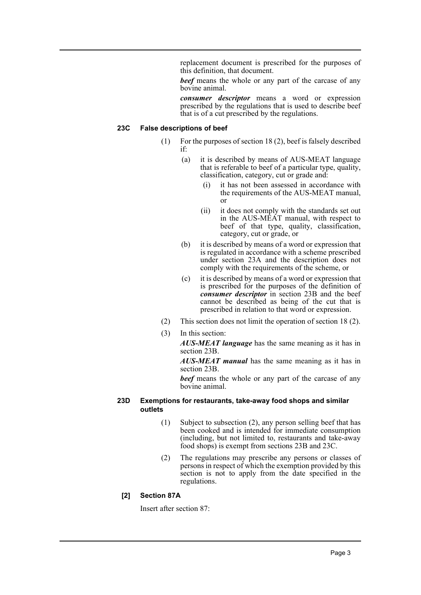replacement document is prescribed for the purposes of this definition, that document.

*beef* means the whole or any part of the carcase of any bovine animal.

*consumer descriptor* means a word or expression prescribed by the regulations that is used to describe beef that is of a cut prescribed by the regulations.

## **23C False descriptions of beef**

- (1) For the purposes of section 18 (2), beef is falsely described if:
	- (a) it is described by means of AUS-MEAT language that is referable to beef of a particular type, quality, classification, category, cut or grade and:
		- (i) it has not been assessed in accordance with the requirements of the AUS-MEAT manual, or
		- (ii) it does not comply with the standards set out in the AUS-MEAT manual, with respect to beef of that type, quality, classification, category, cut or grade, or
	- (b) it is described by means of a word or expression that is regulated in accordance with a scheme prescribed under section 23A and the description does not comply with the requirements of the scheme, or
	- (c) it is described by means of a word or expression that is prescribed for the purposes of the definition of *consumer descriptor* in section 23B and the beef cannot be described as being of the cut that is prescribed in relation to that word or expression.
- (2) This section does not limit the operation of section 18 (2).
- (3) In this section:

*AUS-MEAT language* has the same meaning as it has in section 23B.

*AUS-MEAT manual* has the same meaning as it has in section 23B.

*beef* means the whole or any part of the carcase of any bovine animal.

### **23D Exemptions for restaurants, take-away food shops and similar outlets**

- (1) Subject to subsection (2), any person selling beef that has been cooked and is intended for immediate consumption (including, but not limited to, restaurants and take-away food shops) is exempt from sections 23B and 23C.
- (2) The regulations may prescribe any persons or classes of persons in respect of which the exemption provided by this section is not to apply from the date specified in the regulations.

## **[2] Section 87A**

Insert after section 87: